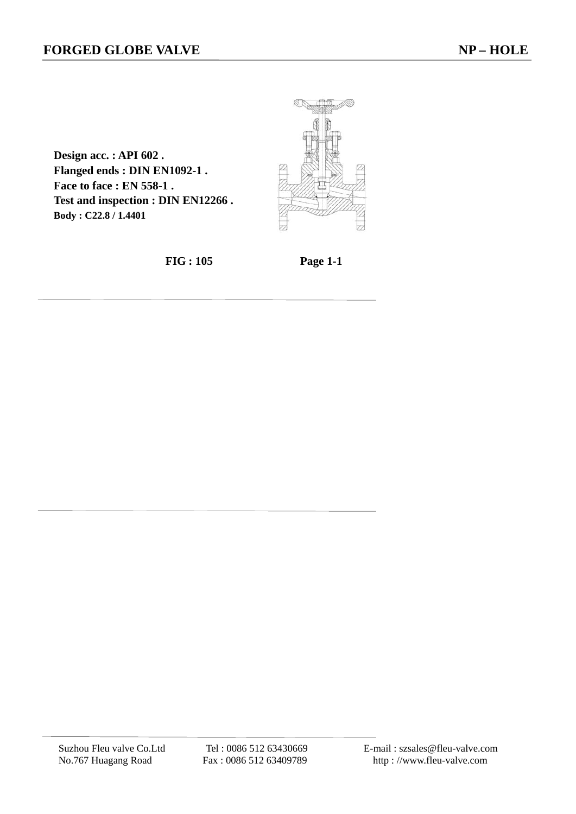**Design acc. : API 602 . Flanged ends : DIN EN1092-1 . Face to face : EN 558-1 . Test and inspection : DIN EN12266 . Body : C22.8 / 1.4401**



 **FIG : 105 Page 1-1**